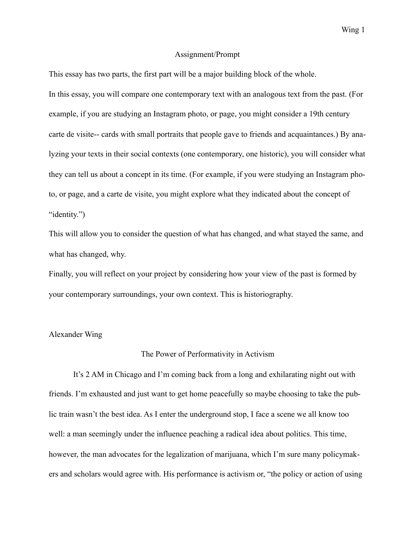## Assignment/Prompt

This essay has two parts, the first part will be a major building block of the whole.

In this essay, you will compare one contemporary text with an analogous text from the past. (For example, if you are studying an Instagram photo, or page, you might consider a 19th century carte de visite-- cards with small portraits that people gave to friends and acquaintances.) By analyzing your texts in their social contexts (one contemporary, one historic), you will consider what they can tell us about a concept in its time. (For example, if you were studying an Instagram photo, or page, and a carte de visite, you might explore what they indicated about the concept of "identity.")

This will allow you to consider the question of what has changed, and what stayed the same, and what has changed, why.

Finally, you will reflect on your project by considering how your view of the past is formed by your contemporary surroundings, your own context. This is historiography.

## Alexander Wing

## The Power of Performativity in Activism

 It's 2 AM in Chicago and I'm coming back from a long and exhilarating night out with friends. I'm exhausted and just want to get home peacefully so maybe choosing to take the public train wasn't the best idea. As I enter the underground stop, I face a scene we all know too well: a man seemingly under the influence peaching a radical idea about politics. This time, however, the man advocates for the legalization of marijuana, which I'm sure many policymakers and scholars would agree with. His performance is activism or, "the policy or action of using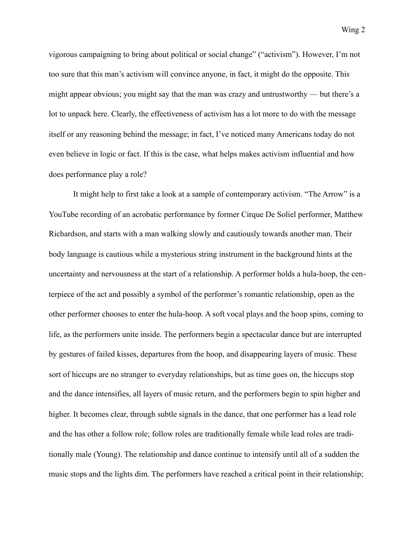Wing 2

vigorous campaigning to bring about political or social change" ("activism"). However, I'm not too sure that this man's activism will convince anyone, in fact, it might do the opposite. This might appear obvious; you might say that the man was crazy and untrustworthy — but there's a lot to unpack here. Clearly, the effectiveness of activism has a lot more to do with the message itself or any reasoning behind the message; in fact, I've noticed many Americans today do not even believe in logic or fact. If this is the case, what helps makes activism influential and how does performance play a role?

 It might help to first take a look at a sample of contemporary activism. "The Arrow" is a YouTube recording of an acrobatic performance by former Cirque De Soliel performer, Matthew Richardson, and starts with a man walking slowly and cautiously towards another man. Their body language is cautious while a mysterious string instrument in the background hints at the uncertainty and nervousness at the start of a relationship. A performer holds a hula-hoop, the centerpiece of the act and possibly a symbol of the performer's romantic relationship, open as the other performer chooses to enter the hula-hoop. A soft vocal plays and the hoop spins, coming to life, as the performers unite inside. The performers begin a spectacular dance but are interrupted by gestures of failed kisses, departures from the hoop, and disappearing layers of music. These sort of hiccups are no stranger to everyday relationships, but as time goes on, the hiccups stop and the dance intensifies, all layers of music return, and the performers begin to spin higher and higher. It becomes clear, through subtle signals in the dance, that one performer has a lead role and the has other a follow role; follow roles are traditionally female while lead roles are traditionally male (Young). The relationship and dance continue to intensify until all of a sudden the music stops and the lights dim. The performers have reached a critical point in their relationship;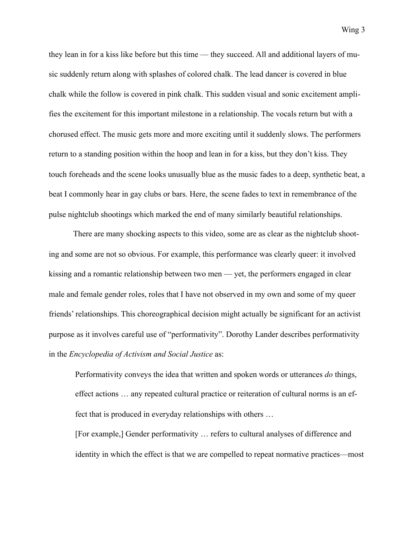they lean in for a kiss like before but this time — they succeed. All and additional layers of music suddenly return along with splashes of colored chalk. The lead dancer is covered in blue chalk while the follow is covered in pink chalk. This sudden visual and sonic excitement amplifies the excitement for this important milestone in a relationship. The vocals return but with a chorused effect. The music gets more and more exciting until it suddenly slows. The performers return to a standing position within the hoop and lean in for a kiss, but they don't kiss. They touch foreheads and the scene looks unusually blue as the music fades to a deep, synthetic beat, a beat I commonly hear in gay clubs or bars. Here, the scene fades to text in remembrance of the pulse nightclub shootings which marked the end of many similarly beautiful relationships.

 There are many shocking aspects to this video, some are as clear as the nightclub shooting and some are not so obvious. For example, this performance was clearly queer: it involved kissing and a romantic relationship between two men — yet, the performers engaged in clear male and female gender roles, roles that I have not observed in my own and some of my queer friends' relationships. This choreographical decision might actually be significant for an activist purpose as it involves careful use of "performativity". Dorothy Lander describes performativity in the *Encyclopedia of Activism and Social Justice* as:

Performativity conveys the idea that written and spoken words or utterances *do* things, effect actions … any repeated cultural practice or reiteration of cultural norms is an effect that is produced in everyday relationships with others …

[For example,] Gender performativity … refers to cultural analyses of difference and identity in which the effect is that we are compelled to repeat normative practices—most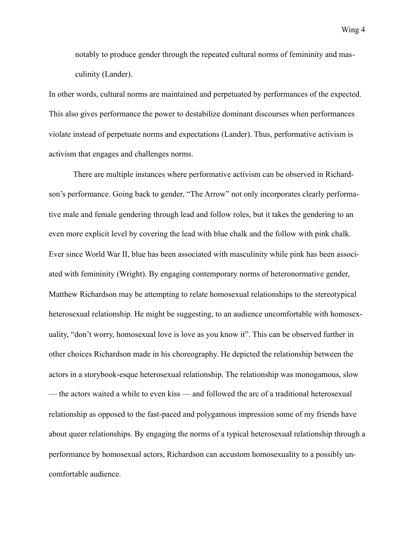notably to produce gender through the repeated cultural norms of femininity and masculinity (Lander).

In other words, cultural norms are maintained and perpetuated by performances of the expected. This also gives performance the power to destabilize dominant discourses when performances violate instead of perpetuate norms and expectations (Lander). Thus, performative activism is activism that engages and challenges norms.

 There are multiple instances where performative activism can be observed in Richardson's performance. Going back to gender, "The Arrow" not only incorporates clearly performative male and female gendering through lead and follow roles, but it takes the gendering to an even more explicit level by covering the lead with blue chalk and the follow with pink chalk. Ever since World War II, blue has been associated with masculinity while pink has been associated with femininity (Wright). By engaging contemporary norms of heteronormative gender, Matthew Richardson may be attempting to relate homosexual relationships to the stereotypical heterosexual relationship. He might be suggesting, to an audience uncomfortable with homosexuality, "don't worry, homosexual love is love as you know it". This can be observed further in other choices Richardson made in his choreography. He depicted the relationship between the actors in a storybook-esque heterosexual relationship. The relationship was monogamous, slow — the actors waited a while to even kiss — and followed the arc of a traditional heterosexual relationship as opposed to the fast-paced and polygamous impression some of my friends have about queer relationships. By engaging the norms of a typical heterosexual relationship through a performance by homosexual actors, Richardson can accustom homosexuality to a possibly uncomfortable audience.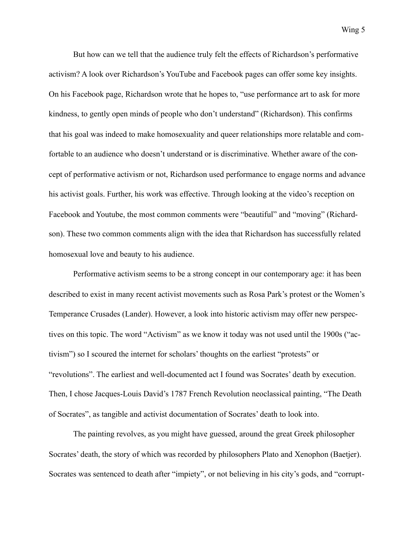But how can we tell that the audience truly felt the effects of Richardson's performative activism? A look over Richardson's YouTube and Facebook pages can offer some key insights. On his Facebook page, Richardson wrote that he hopes to, "use performance art to ask for more kindness, to gently open minds of people who don't understand" (Richardson). This confirms that his goal was indeed to make homosexuality and queer relationships more relatable and comfortable to an audience who doesn't understand or is discriminative. Whether aware of the concept of performative activism or not, Richardson used performance to engage norms and advance his activist goals. Further, his work was effective. Through looking at the video's reception on Facebook and Youtube, the most common comments were "beautiful" and "moving" (Richardson). These two common comments align with the idea that Richardson has successfully related homosexual love and beauty to his audience.

 Performative activism seems to be a strong concept in our contemporary age: it has been described to exist in many recent activist movements such as Rosa Park's protest or the Women's Temperance Crusades (Lander). However, a look into historic activism may offer new perspectives on this topic. The word "Activism" as we know it today was not used until the 1900s ("activism") so I scoured the internet for scholars' thoughts on the earliest "protests" or "revolutions". The earliest and well-documented act I found was Socrates' death by execution. Then, I chose Jacques-Louis David's 1787 French Revolution neoclassical painting, "The Death of Socrates", as tangible and activist documentation of Socrates' death to look into.

 The painting revolves, as you might have guessed, around the great Greek philosopher Socrates' death, the story of which was recorded by philosophers Plato and Xenophon (Baetjer). Socrates was sentenced to death after "impiety", or not believing in his city's gods, and "corrupt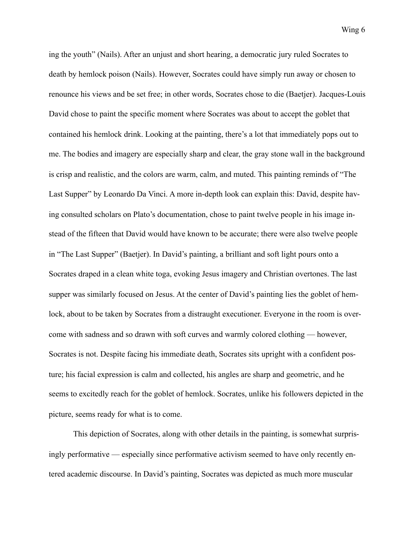ing the youth" (Nails). After an unjust and short hearing, a democratic jury ruled Socrates to death by hemlock poison (Nails). However, Socrates could have simply run away or chosen to renounce his views and be set free; in other words, Socrates chose to die (Baetjer). Jacques-Louis David chose to paint the specific moment where Socrates was about to accept the goblet that contained his hemlock drink. Looking at the painting, there's a lot that immediately pops out to me. The bodies and imagery are especially sharp and clear, the gray stone wall in the background is crisp and realistic, and the colors are warm, calm, and muted. This painting reminds of "The Last Supper" by Leonardo Da Vinci. A more in-depth look can explain this: David, despite having consulted scholars on Plato's documentation, chose to paint twelve people in his image instead of the fifteen that David would have known to be accurate; there were also twelve people in "The Last Supper" (Baetjer). In David's painting, a brilliant and soft light pours onto a Socrates draped in a clean white toga, evoking Jesus imagery and Christian overtones. The last supper was similarly focused on Jesus. At the center of David's painting lies the goblet of hemlock, about to be taken by Socrates from a distraught executioner. Everyone in the room is overcome with sadness and so drawn with soft curves and warmly colored clothing — however, Socrates is not. Despite facing his immediate death, Socrates sits upright with a confident posture; his facial expression is calm and collected, his angles are sharp and geometric, and he seems to excitedly reach for the goblet of hemlock. Socrates, unlike his followers depicted in the picture, seems ready for what is to come.

 This depiction of Socrates, along with other details in the painting, is somewhat surprisingly performative — especially since performative activism seemed to have only recently entered academic discourse. In David's painting, Socrates was depicted as much more muscular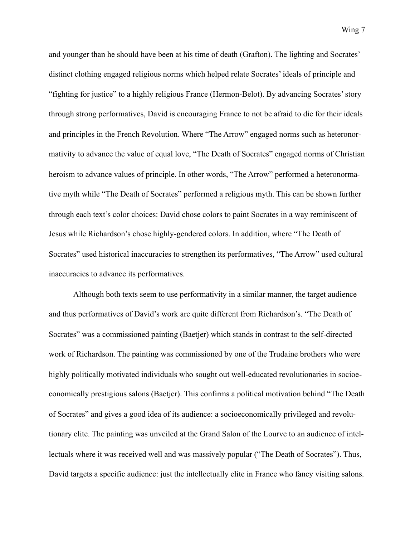and younger than he should have been at his time of death (Grafton). The lighting and Socrates' distinct clothing engaged religious norms which helped relate Socrates' ideals of principle and "fighting for justice" to a highly religious France (Hermon-Belot). By advancing Socrates' story through strong performatives, David is encouraging France to not be afraid to die for their ideals and principles in the French Revolution. Where "The Arrow" engaged norms such as heteronormativity to advance the value of equal love, "The Death of Socrates" engaged norms of Christian heroism to advance values of principle. In other words, "The Arrow" performed a heteronormative myth while "The Death of Socrates" performed a religious myth. This can be shown further through each text's color choices: David chose colors to paint Socrates in a way reminiscent of Jesus while Richardson's chose highly-gendered colors. In addition, where "The Death of Socrates" used historical inaccuracies to strengthen its performatives, "The Arrow" used cultural inaccuracies to advance its performatives.

 Although both texts seem to use performativity in a similar manner, the target audience and thus performatives of David's work are quite different from Richardson's. "The Death of Socrates" was a commissioned painting (Baetjer) which stands in contrast to the self-directed work of Richardson. The painting was commissioned by one of the Trudaine brothers who were highly politically motivated individuals who sought out well-educated revolutionaries in socioeconomically prestigious salons (Baetjer). This confirms a political motivation behind "The Death of Socrates" and gives a good idea of its audience: a socioeconomically privileged and revolutionary elite. The painting was unveiled at the Grand Salon of the Lourve to an audience of intellectuals where it was received well and was massively popular ("The Death of Socrates"). Thus, David targets a specific audience: just the intellectually elite in France who fancy visiting salons.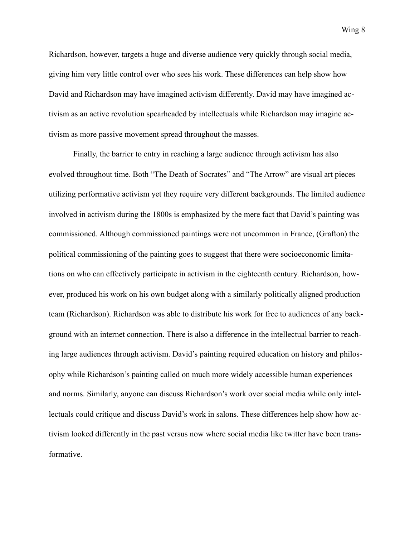Wing 8

Richardson, however, targets a huge and diverse audience very quickly through social media, giving him very little control over who sees his work. These differences can help show how David and Richardson may have imagined activism differently. David may have imagined activism as an active revolution spearheaded by intellectuals while Richardson may imagine activism as more passive movement spread throughout the masses.

 Finally, the barrier to entry in reaching a large audience through activism has also evolved throughout time. Both "The Death of Socrates" and "The Arrow" are visual art pieces utilizing performative activism yet they require very different backgrounds. The limited audience involved in activism during the 1800s is emphasized by the mere fact that David's painting was commissioned. Although commissioned paintings were not uncommon in France, (Grafton) the political commissioning of the painting goes to suggest that there were socioeconomic limitations on who can effectively participate in activism in the eighteenth century. Richardson, however, produced his work on his own budget along with a similarly politically aligned production team (Richardson). Richardson was able to distribute his work for free to audiences of any background with an internet connection. There is also a difference in the intellectual barrier to reaching large audiences through activism. David's painting required education on history and philosophy while Richardson's painting called on much more widely accessible human experiences and norms. Similarly, anyone can discuss Richardson's work over social media while only intellectuals could critique and discuss David's work in salons. These differences help show how activism looked differently in the past versus now where social media like twitter have been transformative.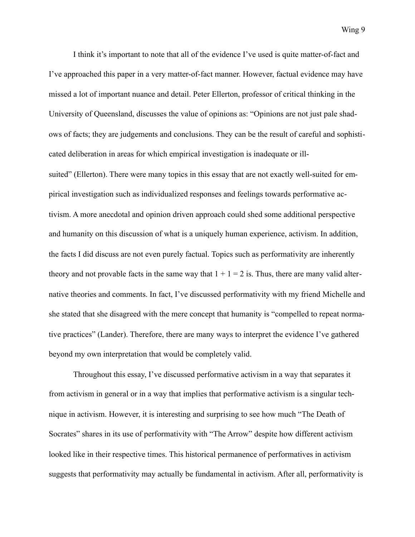I think it's important to note that all of the evidence I've used is quite matter-of-fact and I've approached this paper in a very matter-of-fact manner. However, factual evidence may have missed a lot of important nuance and detail. Peter Ellerton, professor of critical thinking in the University of Queensland, discusses the value of opinions as: "Opinions are not just pale shadows of facts; they are judgements and conclusions. They can be the result of careful and sophisticated deliberation in areas for which empirical investigation is inadequate or illsuited" (Ellerton). There were many topics in this essay that are not exactly well-suited for empirical investigation such as individualized responses and feelings towards performative activism. A more anecdotal and opinion driven approach could shed some additional perspective and humanity on this discussion of what is a uniquely human experience, activism. In addition, the facts I did discuss are not even purely factual. Topics such as performativity are inherently theory and not provable facts in the same way that  $1 + 1 = 2$  is. Thus, there are many valid alternative theories and comments. In fact, I've discussed performativity with my friend Michelle and she stated that she disagreed with the mere concept that humanity is "compelled to repeat normative practices" (Lander). Therefore, there are many ways to interpret the evidence I've gathered beyond my own interpretation that would be completely valid.

 Throughout this essay, I've discussed performative activism in a way that separates it from activism in general or in a way that implies that performative activism is a singular technique in activism. However, it is interesting and surprising to see how much "The Death of Socrates" shares in its use of performativity with "The Arrow" despite how different activism looked like in their respective times. This historical permanence of performatives in activism suggests that performativity may actually be fundamental in activism. After all, performativity is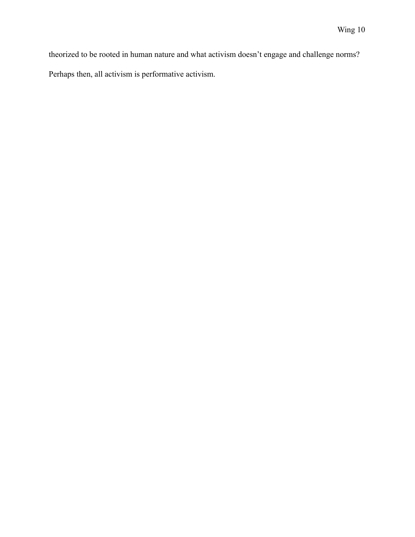theorized to be rooted in human nature and what activism doesn't engage and challenge norms?

Perhaps then, all activism is performative activism.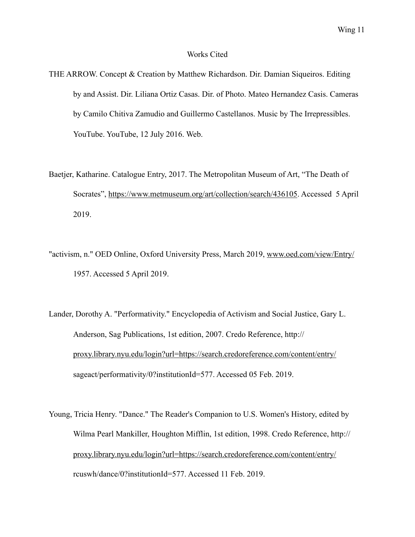## Works Cited

- THE ARROW. Concept & Creation by Matthew Richardson. Dir. Damian Siqueiros. Editing by and Assist. Dir. Liliana Ortiz Casas. Dir. of Photo. Mateo Hernandez Casis. Cameras by Camilo Chitiva Zamudio and Guillermo Castellanos. Music by The Irrepressibles. YouTube. YouTube, 12 July 2016. Web.
- Baetjer, Katharine. Catalogue Entry, 2017. The Metropolitan Museum of Art, "The Death of Socrates", [https://www.metmuseum.org/art/collection/search/436105.](https://www.metmuseum.org/art/collection/search/436105) Accessed 5 April 2019.
- "activism, n." OED Online, Oxford University Press, March 2019, [www.oed.com/view/Entry/](http://www.oed.com/view/Entry/) 1957. Accessed 5 April 2019.
- Lander, Dorothy A. "Performativity." Encyclopedia of Activism and Social Justice, Gary L. Anderson, Sag Publications, 1st edition, 2007. Credo Reference, http:// [proxy.library.nyu.edu/login?url=https://search.credoreference.com/content/entry/](http://proxy.library.nyu.edu/login?url=https://search.credoreference.com/content/entry/) sageact/performativity/0?institutionId=577. Accessed 05 Feb. 2019.
- Young, Tricia Henry. "Dance." The Reader's Companion to U.S. Women's History, edited by Wilma Pearl Mankiller, Houghton Mifflin, 1st edition, 1998. Credo Reference, http:// [proxy.library.nyu.edu/login?url=https://search.credoreference.com/content/entry/](http://proxy.library.nyu.edu/login?url=https://search.credoreference.com/content/entry/) rcuswh/dance/0?institutionId=577. Accessed 11 Feb. 2019.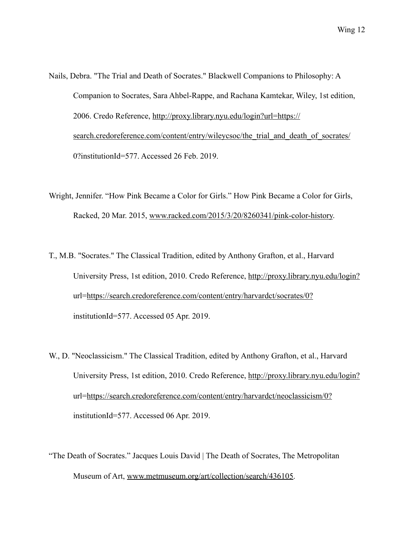- Nails, Debra. "The Trial and Death of Socrates." Blackwell Companions to Philosophy: A Companion to Socrates, Sara Ahbel-Rappe, and Rachana Kamtekar, Wiley, 1st edition, 2006. Credo Reference, <http://proxy.library.nyu.edu/login?url=https://> [search.credoreference.com/content/entry/wileycsoc/the\\_trial\\_and\\_death\\_of\\_socrates/](http://search.credoreference.com/content/entry/wileycsoc/the_trial_and_death_of_socrates/) 0?institutionId=577. Accessed 26 Feb. 2019.
- Wright, Jennifer. "How Pink Became a Color for Girls." How Pink Became a Color for Girls, Racked, 20 Mar. 2015, [www.racked.com/2015/3/20/8260341/pink-color-history.](http://www.racked.com/2015/3/20/8260341/pink-color-history)
- T., M.B. "Socrates." The Classical Tradition, edited by Anthony Grafton, et al., Harvard University Press, 1st edition, 2010. Credo Reference,<http://proxy.library.nyu.edu/login?> url[=https://search.credoreference.com/content/entry/harvardct/socrates/0?](https://search.credoreference.com/content/entry/harvardct/socrates/0?) institutionId=577. Accessed 05 Apr. 2019.
- W., D. "Neoclassicism." The Classical Tradition, edited by Anthony Grafton, et al., Harvard University Press, 1st edition, 2010. Credo Reference,<http://proxy.library.nyu.edu/login?> url[=https://search.credoreference.com/content/entry/harvardct/neoclassicism/0?](https://search.credoreference.com/content/entry/harvardct/neoclassicism/0?) institutionId=577. Accessed 06 Apr. 2019.
- "The Death of Socrates." Jacques Louis David | The Death of Socrates, The Metropolitan Museum of Art, [www.metmuseum.org/art/collection/search/436105.](http://www.metmuseum.org/art/collection/search/436105)